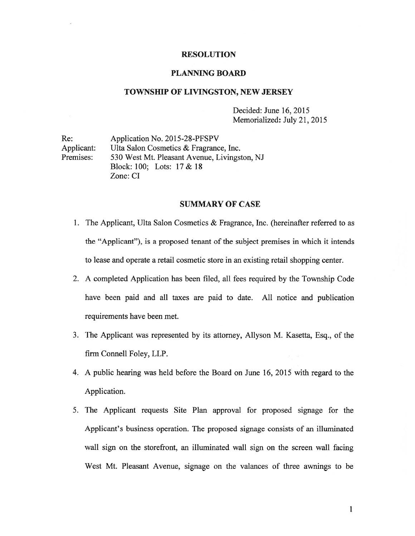# RESOLUTION

## PLANNING BOARD

## TOWNSHIP OF LIVINGSTON, NEW JERSEY

Decided: June 16, 2015 Memorialized: July 21, 2015

Re: Application No. 2015-28-PFSPV Applicant: Ulta Salon Cosmetics & Fragrance, Inc. Premises: 530 West Mt. Pleasant Avenue, Livingston, NJ Block: 100; Lots: 17 & 18 Zone: CI

#### SUMMARY OF CASE

- 1. The Applicant, Ulta Salon Cosmetics & Fragrance, Inc. (hereinafter referred to as the "Applicant"), is <sup>a</sup> proposed tenant of the subject premises in which it intends to lease and operate <sup>a</sup> retail cosmetic store in an existing retail shopping center.
- 2. A completed Application has been filed, all fees required by the Township Code have been paid and all taxes are paid to date. All notice and publication requirements have been met.
- 3. The Applicant was represented by its attorney, Allyson M. Kasetta, Esq., of the firm Connell Foley, LLP.
- 4. A public hearing was held before the Board on June 16, 2015 with regard to the Application.
- 5. The Applicant requests Site Plan approval for proposed signage for the Applicant's business operation. The proposed signage consists of an illuminated wall sign on the storefront, an illuminated wall sign on the screen wall facing West Mt. Pleasant Avenue, signage on the valances of three awnings to be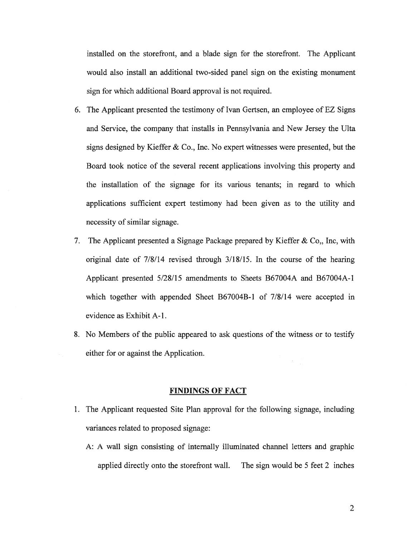installed on the storefront, and <sup>a</sup> blade sign for the storefront. The Applicant would also install an additional two-sided panel sign on the existing monument sign for which additional Board approval is not required.

- 6. The Applicant presented the testimony of Ivan Gertsen, an employee of EZ Signs and Service, the company that installs in Pennsylvania and New Jersey the Ulta signs designed by Kieffer & Co., Inc. No exper<sup>t</sup> witnesses were presented, but the Board took notice of the several recent applications involving this property and the installation of the signage for its various tenants; in regard to which applications sufficient exper<sup>t</sup> testimony had been given as to the utility and necessity of similar signage.
- 7. The Applicant presented <sup>a</sup> Signage Package prepared by Kieffer & Co,, mc, with original date of  $7/8/14$  revised through  $3/18/15$ . In the course of the hearing Applicant presented 5/28/15 amendments to Sheets B67004A and B67004A-1 which together with appended Sheet B67004B-l of 7/8/14 were accepted in evidence as Exhibit A-i.
- 8. No Members of the public appeared to ask questions of the witness or to testify either for or against the Application.

# FINDINGS OF FACT

- 1. The Applicant requested Site Plan approval for the following signage, including variances related to proposed signage:
	- A: A wall sign consisting of internally illuminated channel letters and graphic applied directly onto the storefront wall. The sign would be 5 feet 2 inches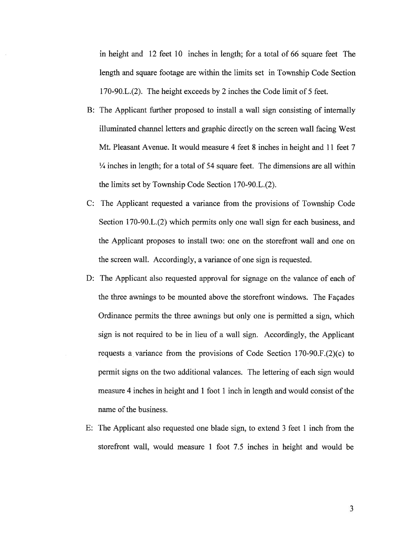in height and 12 feet 10 inches in length; for <sup>a</sup> total of 66 square feet The length and square footage are within the limits set in Township Code Section 170-90.L.(2). The height exceeds by 2 inches the Code limit of 5 feet.

- B: The Applicant further proposed to install <sup>a</sup> wall sign consisting of internally illuminated channel letters and graphic directly on the screen wall facing West Mt. Pleasant Avenue. It would measure 4 feet 8 inches in height and 11 feet 7 ¼ inches in length; for <sup>a</sup> total of 54 square feet. The dimensions are all within the limits set by Township Code Section 170-90.L.(2).
- C: The Applicant requested <sup>a</sup> variance from the provisions of Township Code Section 170-90.L.(2) which permits only one wall sign for each business, and the Applicant proposes to install two: one on the storefront wall and one on the screen wall. Accordingly, <sup>a</sup> variance of one sign is requested.
- D: The Applicant also requested approval for signage on the valance of each of the three awnings to be mounted above the storefront windows. The Façades Ordinance permits the three awnings but only one is permitted <sup>a</sup> sign, which sign is not required to be in lieu of <sup>a</sup> wall sign. Accordingly, the Applicant requests <sup>a</sup> variance from the provisions of Code Section 170-90.F.(2)(c) to permit signs on the two additional valances. The lettering of each sign would measure 4 inches in height and 1 foot 1 inch in length and would consist of the name of the business.
- E: The Applicant also requested one blade sign, to extend 3 feet 1 inch from the storefront wall, would measure 1 foot 7.5 inches in height and would be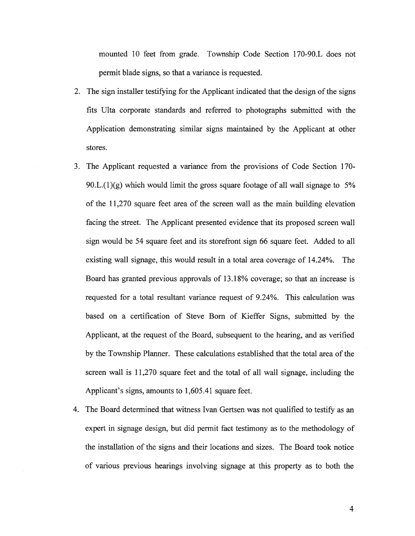mounted 10 feet from grade. Township Code Section 170-90.L does not permit blade signs, so that <sup>a</sup> variance is requested.

- 2. The sign installer testifying for the Applicant indicated that the design of the signs fits Ulta corporate standards and referred to photographs submitted with the Application demonstrating similar signs maintained by the Applicant at other stores.
- 3. The Applicant requested <sup>a</sup> variance from the provisions of Code Section 170- 90.L. $(1)(g)$  which would limit the gross square footage of all wall signage to 5% of the 11,270 square feet area of the screen wall as the main building elevation facing the street. The Applicant presented evidence that its proposed screen wall sign would be 54 square feet and its storefront sign 66 square feet. Added to all existing wall signage, this would result in <sup>a</sup> total area coverage of 14.24%. The Board has granted previous approvals of 13.18% coverage; so that an increase is requested for <sup>a</sup> total resultant variance reques<sup>t</sup> of 9.24%. This calculation was based on <sup>a</sup> certification of Steve Born of Kieffer Signs, submitted by the Applicant, at the reques<sup>t</sup> of the Board, subsequent to the hearing, and as verified by the Township Planner. These calculations established that the total area of the screen wall is 11,270 square feet and the total of all wall signage, including the Applicant's signs, amounts to 1,605.41 square feet.
- 4. The Board determined that witness Ivan Gertsen was not qualified to testify as an exper<sup>t</sup> in signage design, but did permit fact testimony as to the methodology of the installation of the signs and their locations and sizes. The Board took notice of various previous hearings involving signage at this property as to both the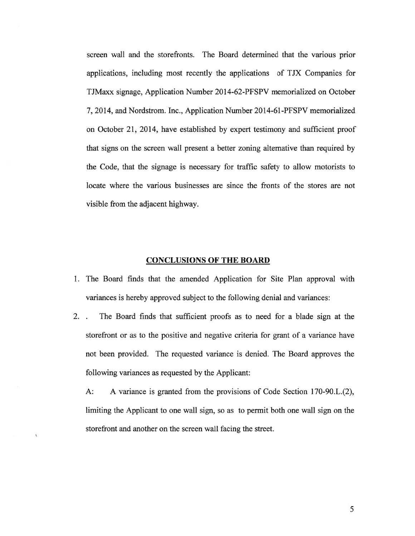screen wall and the storefronts. The Board determined that the various prior applications, including most recently the applications of TJX Companies for TJMaxx signage, Application Number 2014-62-PFSPV memorialized on October 7, 2014, and Nordstrom. Inc., Application Number 2014-61-PFSPV memorialized on October 21, 2014, have established by exper<sup>t</sup> testimony and sufficient proof that signs on the screen wall presen<sup>t</sup> <sup>a</sup> better zoning alternative than required by the Code, that the signage is necessary for traffic safety to allow motorists to locate where the various businesses are since the fronts of the stores are not visible from the adjacent highway.

# CONCLUSIONS OF THE BOARD

- 1. The Board finds that the amended Application for Site Plan approval with variances is hereby approved subject to the following denial and variances:
- 2. . The Board finds that sufficient proofs as to need for <sup>a</sup> blade sign at the storefront or as to the positive and negative criteria for gran<sup>t</sup> of <sup>a</sup> variance have not been provided. The requested variance is denied. The Board approves the following variances as requested by the Applicant:

A: A variance is granted from the provisions of Code Section 170-90.L.(2), limiting the Applicant to one wall sign, so as to permit both one wall sign on the storefront and another on the screen wall facing the street.

ï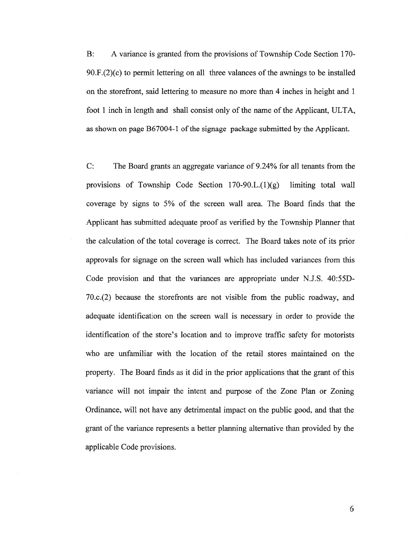B: A variance is granted from the provisions of Township Code Section 170- 90.F.(2)(c) to permit lettering on all three valances of the awnings to be installed on the storefront, said lettering to measure no more than 4 inches in height and 1 foot 1 inch in length and shall consist only of the name of the Applicant, ULTA, as shown on page B67004-1 of the signage package submitted by the Applicant.

C: The Board grants an aggregate variance of 9.24% for all tenants from the provisions of Township Code Section 170-90.L.(1)(g) limiting total wall coverage by signs to 5% of the screen wall area. The Board finds that the Applicant has submitted adequate proof as verified by the Township Planner that the calculation of the total coverage is correct. The Board takes note of its prior approvals for signage on the screen wall which has included variances from this Code provision and that the variances are appropriate under N.J.S. 40:55D-70.c.(2) because the storefronts are not visible from the public roadway, and adequate identification on the screen wall is necessary in order to provide the identification of the store's location and to improve traffic safety for motorists who are unfamiliar with the location of the retail stores maintained on the property. The Board finds as it did in the prior applications that the gran<sup>t</sup> of this variance will not impair the intent and purpose of the Zone Plan or Zoning Ordinance, will not have any detrimental impact on the public good, and that the gran<sup>t</sup> of the variance represents <sup>a</sup> better planning alternative than provided by the applicable Code provisions.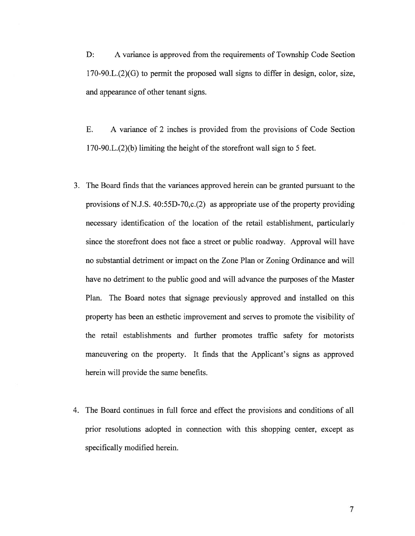D: A variance is approved from the requirements of Township Code Section 170-90.L.(2)(G) to permit the proposed wall signs to differ in design, color, size, and appearance of other tenant signs.

E. A variance of 2 inches is provided from the provisions of Code Section  $170-90.L.(2)$ (b) limiting the height of the storefront wall sign to 5 feet.

- 3. The Board finds that the variances approved herein can be granted pursuan<sup>t</sup> to the provisions of N.J.S. 40:55D-70,c.(2) as appropriate use of the property providing necessary identification of the location of the retail establishment, particularly since the storefront does not face <sup>a</sup> street or public roadway. Approval will have no substantial detriment or impact on the Zone Plan or Zoning Ordinance and will have no detriment to the public good and will advance the purposes of the Master Plan. The Board notes that signage previously approved and installed on this property has been an esthetic improvement and serves to promote the visibility of the retail establishments and further promotes traffic safety for motorists maneuvering on the property. It finds that the Applicant's signs as approved herein will provide the same benefits.
- 4. The Board continues in full force and effect the provisions and conditions of all prior resolutions adopted in connection with this shopping center, excep<sup>t</sup> as specifically modified herein.